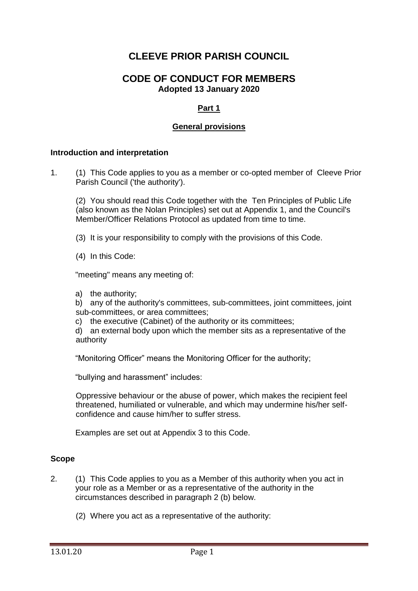# **CLEEVE PRIOR PARISH COUNCIL**

# **CODE OF CONDUCT FOR MEMBERS Adopted 13 January 2020**

# **Part 1**

#### **General provisions**

#### **Introduction and interpretation**

1. (1) This Code applies to you as a member or co-opted member of Cleeve Prior Parish Council ('the authority').

(2) You should read this Code together with the Ten Principles of Public Life (also known as the Nolan Principles) set out at Appendix 1, and the Council's Member/Officer Relations Protocol as updated from time to time.

(3) It is your responsibility to comply with the provisions of this Code.

(4) In this Code:

"meeting" means any meeting of:

a) the authority;

b) any of the authority's committees, sub-committees, joint committees, joint sub-committees, or area committees;

c) the executive (Cabinet) of the authority or its committees;

d) an external body upon which the member sits as a representative of the authority

"Monitoring Officer" means the Monitoring Officer for the authority;

"bullying and harassment" includes:

Oppressive behaviour or the abuse of power, which makes the recipient feel threatened, humiliated or vulnerable, and which may undermine his/her selfconfidence and cause him/her to suffer stress.

Examples are set out at Appendix 3 to this Code.

#### **Scope**

- 2. (1) This Code applies to you as a Member of this authority when you act in your role as a Member or as a representative of the authority in the circumstances described in paragraph 2 (b) below.
	- (2) Where you act as a representative of the authority: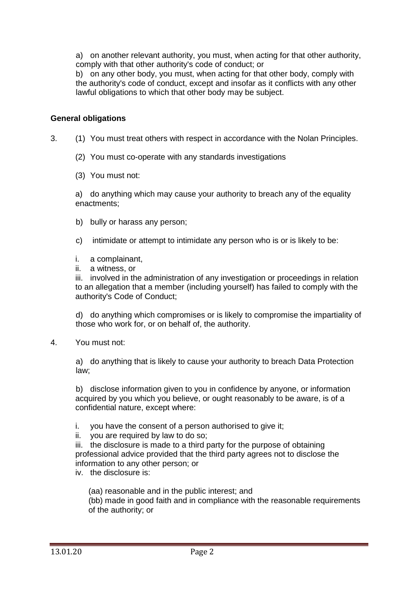a) on another relevant authority, you must, when acting for that other authority, comply with that other authority's code of conduct; or

b) on any other body, you must, when acting for that other body, comply with the authority's code of conduct, except and insofar as it conflicts with any other lawful obligations to which that other body may be subject.

### **General obligations**

- 3. (1) You must treat others with respect in accordance with the Nolan Principles.
	- (2) You must co-operate with any standards investigations
	- (3) You must not:

a) do anything which may cause your authority to breach any of the equality enactments;

- b) bully or harass any person:
- c) intimidate or attempt to intimidate any person who is or is likely to be:
- i. a complainant,
- ii. a witness, or

iii. involved in the administration of any investigation or proceedings in relation to an allegation that a member (including yourself) has failed to comply with the authority's Code of Conduct;

d) do anything which compromises or is likely to compromise the impartiality of those who work for, or on behalf of, the authority.

4. You must not:

a) do anything that is likely to cause your authority to breach Data Protection law;

b) disclose information given to you in confidence by anyone, or information acquired by you which you believe, or ought reasonably to be aware, is of a confidential nature, except where:

- i. you have the consent of a person authorised to give it;
- ii. you are required by law to do so;

iii. the disclosure is made to a third party for the purpose of obtaining professional advice provided that the third party agrees not to disclose the information to any other person; or

iv. the disclosure is:

(aa) reasonable and in the public interest; and (bb) made in good faith and in compliance with the reasonable requirements of the authority; or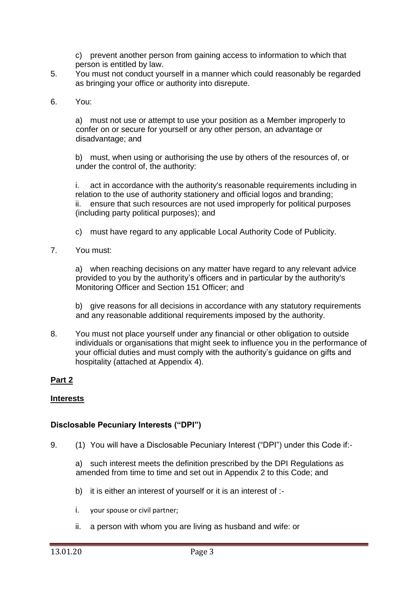c) prevent another person from gaining access to information to which that person is entitled by law.

- 5. You must not conduct yourself in a manner which could reasonably be regarded as bringing your office or authority into disrepute.
- 6. You:

a) must not use or attempt to use your position as a Member improperly to confer on or secure for yourself or any other person, an advantage or disadvantage; and

b) must, when using or authorising the use by others of the resources of, or under the control of, the authority:

i. act in accordance with the authority's reasonable requirements including in relation to the use of authority stationery and official logos and branding; ii. ensure that such resources are not used improperly for political purposes (including party political purposes); and

- c) must have regard to any applicable Local Authority Code of Publicity.
- 7. You must:

a) when reaching decisions on any matter have regard to any relevant advice provided to you by the authority's officers and in particular by the authority's Monitoring Officer and Section 151 Officer; and

b) give reasons for all decisions in accordance with any statutory requirements and any reasonable additional requirements imposed by the authority.

8. You must not place yourself under any financial or other obligation to outside individuals or organisations that might seek to influence you in the performance of your official duties and must comply with the authority's guidance on gifts and hospitality (attached at Appendix 4).

# **Part 2**

#### **Interests**

#### **Disclosable Pecuniary Interests ("DPI")**

9. (1) You will have a Disclosable Pecuniary Interest ("DPI") under this Code if:-

a) such interest meets the definition prescribed by the DPI Regulations as amended from time to time and set out in Appendix 2 to this Code; and

- b) it is either an interest of yourself or it is an interest of :-
- i. your spouse or civil partner;
- ii. a person with whom you are living as husband and wife: or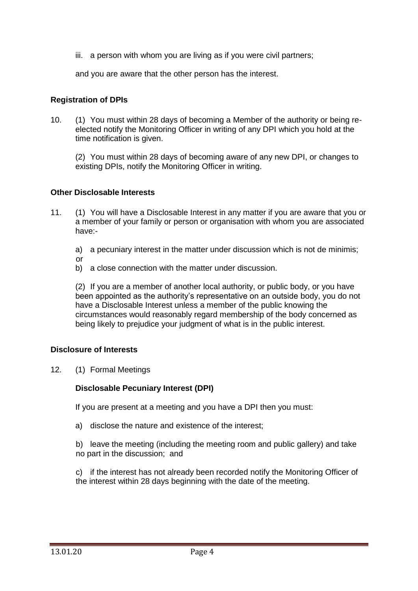iii. a person with whom you are living as if you were civil partners;

and you are aware that the other person has the interest.

### **Registration of DPIs**

10. (1) You must within 28 days of becoming a Member of the authority or being reelected notify the Monitoring Officer in writing of any DPI which you hold at the time notification is given.

(2) You must within 28 days of becoming aware of any new DPI, or changes to existing DPIs, notify the Monitoring Officer in writing.

### **Other Disclosable Interests**

- 11. (1) You will have a Disclosable Interest in any matter if you are aware that you or a member of your family or person or organisation with whom you are associated have:
	- a) a pecuniary interest in the matter under discussion which is not de minimis;
	- or
	- b) a close connection with the matter under discussion.

(2) If you are a member of another local authority, or public body, or you have been appointed as the authority's representative on an outside body, you do not have a Disclosable Interest unless a member of the public knowing the circumstances would reasonably regard membership of the body concerned as being likely to prejudice your judgment of what is in the public interest.

#### **Disclosure of Interests**

12. (1) Formal Meetings

### **Disclosable Pecuniary Interest (DPI)**

If you are present at a meeting and you have a DPI then you must:

a) disclose the nature and existence of the interest;

b) leave the meeting (including the meeting room and public gallery) and take no part in the discussion; and

c) if the interest has not already been recorded notify the Monitoring Officer of the interest within 28 days beginning with the date of the meeting.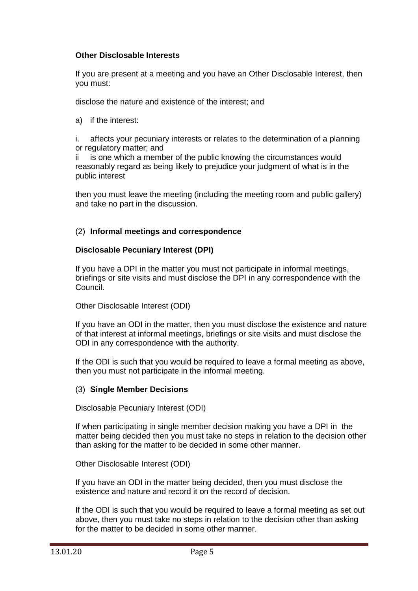### **Other Disclosable Interests**

If you are present at a meeting and you have an Other Disclosable Interest, then you must:

disclose the nature and existence of the interest; and

a) if the interest:

i. affects your pecuniary interests or relates to the determination of a planning or regulatory matter; and

ii is one which a member of the public knowing the circumstances would reasonably regard as being likely to prejudice your judgment of what is in the public interest

then you must leave the meeting (including the meeting room and public gallery) and take no part in the discussion.

# (2) **Informal meetings and correspondence**

### **Disclosable Pecuniary Interest (DPI)**

If you have a DPI in the matter you must not participate in informal meetings, briefings or site visits and must disclose the DPI in any correspondence with the Council.

Other Disclosable Interest (ODI)

If you have an ODI in the matter, then you must disclose the existence and nature of that interest at informal meetings, briefings or site visits and must disclose the ODI in any correspondence with the authority.

If the ODI is such that you would be required to leave a formal meeting as above, then you must not participate in the informal meeting.

### (3) **Single Member Decisions**

Disclosable Pecuniary Interest (ODI)

If when participating in single member decision making you have a DPI in the matter being decided then you must take no steps in relation to the decision other than asking for the matter to be decided in some other manner.

Other Disclosable Interest (ODI)

If you have an ODI in the matter being decided, then you must disclose the existence and nature and record it on the record of decision.

If the ODI is such that you would be required to leave a formal meeting as set out above, then you must take no steps in relation to the decision other than asking for the matter to be decided in some other manner.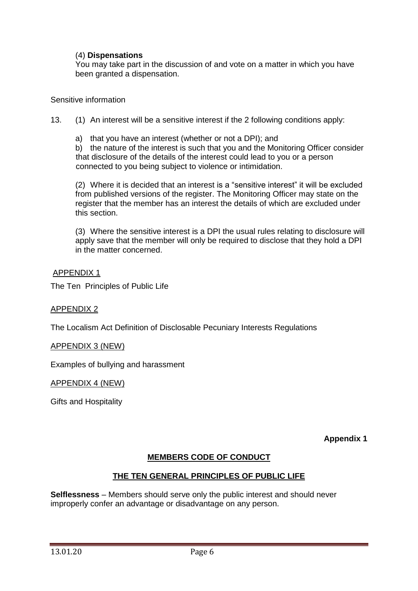### (4) **Dispensations**

You may take part in the discussion of and vote on a matter in which you have been granted a dispensation.

#### Sensitive information

13. (1) An interest will be a sensitive interest if the 2 following conditions apply:

a) that you have an interest (whether or not a DPI); and

b) the nature of the interest is such that you and the Monitoring Officer consider that disclosure of the details of the interest could lead to you or a person connected to you being subject to violence or intimidation.

(2) Where it is decided that an interest is a "sensitive interest" it will be excluded from published versions of the register. The Monitoring Officer may state on the register that the member has an interest the details of which are excluded under this section.

(3) Where the sensitive interest is a DPI the usual rules relating to disclosure will apply save that the member will only be required to disclose that they hold a DPI in the matter concerned.

#### APPENDIX 1

The Ten Principles of Public Life

### APPENDIX 2

The Localism Act Definition of Disclosable Pecuniary Interests Regulations

#### APPENDIX 3 (NEW)

Examples of bullying and harassment

#### APPENDIX 4 (NEW)

Gifts and Hospitality

**Appendix 1**

# **MEMBERS CODE OF CONDUCT**

### **THE TEN GENERAL PRINCIPLES OF PUBLIC LIFE**

**Selflessness** – Members should serve only the public interest and should never improperly confer an advantage or disadvantage on any person.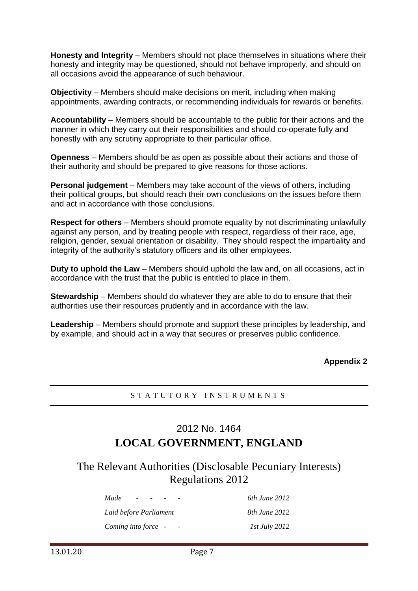**Honesty and Integrity** – Members should not place themselves in situations where their honesty and integrity may be questioned, should not behave improperly, and should on all occasions avoid the appearance of such behaviour.

**Objectivity** – Members should make decisions on merit, including when making appointments, awarding contracts, or recommending individuals for rewards or benefits.

**Accountability** – Members should be accountable to the public for their actions and the manner in which they carry out their responsibilities and should co-operate fully and honestly with any scrutiny appropriate to their particular office.

**Openness** – Members should be as open as possible about their actions and those of their authority and should be prepared to give reasons for those actions.

**Personal judgement** – Members may take account of the views of others, including their political groups, but should reach their own conclusions on the issues before them and act in accordance with those conclusions.

**Respect for others** – Members should promote equality by not discriminating unlawfully against any person, and by treating people with respect, regardless of their race, age, religion, gender, sexual orientation or disability. They should respect the impartiality and integrity of the authority's statutory officers and its other employees.

**Duty to uphold the Law** – Members should uphold the law and, on all occasions, act in accordance with the trust that the public is entitled to place in them.

**Stewardship** – Members should do whatever they are able to do to ensure that their authorities use their resources prudently and in accordance with the law.

**Leadership** – Members should promote and support these principles by leadership, and by example, and should act in a way that secures or preserves public confidence.

**Appendix 2**

# S T A T U T O R Y I N S T R U M E N T S

# 2012 No. 1464 **LOCAL GOVERNMENT, ENGLAND**

The Relevant Authorities (Disclosable Pecuniary Interests) Regulations 2012

| Made                   | 6th June 2012        |
|------------------------|----------------------|
| Laid before Parliament | 8th June 2012        |
| Coming into force -    | <i>Ist July 2012</i> |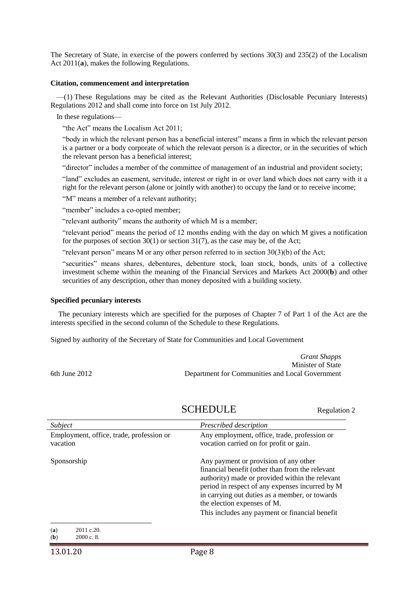The Secretary of State, in exercise of the powers conferred by sections 30(3) and 235(2) of the Localism Act  $2011(a)$ , makes the following Regulations.

#### **Citation, commencement and interpretation**

—(1) These Regulations may be cited as the Relevant Authorities (Disclosable Pecuniary Interests) Regulations 2012 and shall come into force on 1st July 2012.

In these regulations—

"the Act" means the Localism Act 2011;

"body in which the relevant person has a beneficial interest" means a firm in which the relevant person is a partner or a body corporate of which the relevant person is a director, or in the securities of which the relevant person has a beneficial interest;

"director" includes a member of the committee of management of an industrial and provident society;

"land" excludes an easement, servitude, interest or right in or over land which does not carry with it a right for the relevant person (alone or jointly with another) to occupy the land or to receive income;

"M" means a member of a relevant authority;

"member" includes a co-opted member;

"relevant authority" means the authority of which M is a member;

"relevant period" means the period of 12 months ending with the day on which M gives a notification for the purposes of section  $30(1)$  or section  $31(7)$ , as the case may be, of the Act;

"relevant person" means M or any other person referred to in section  $30(3)(b)$  of the Act;

"securities" means shares, debentures, debenture stock, loan stock, bonds, units of a collective investment scheme within the meaning of the Financial Services and Markets Act 2000(**b**) and other securities of any description, other than money deposited with a building society.

#### **Specified pecuniary interests**

The pecuniary interests which are specified for the purposes of Chapter 7 of Part 1 of the Act are the interests specified in the second column of the Schedule to these Regulations.

Signed by authority of the Secretary of State for Communities and Local Government

*Grant Shapps* Minister of State 6th June 2012 Department for Communities and Local Government

SCHEDULE Regulation 2

| Subject                                              | Prescribed description                                                                                                                                                                                                                                                                                                            |
|------------------------------------------------------|-----------------------------------------------------------------------------------------------------------------------------------------------------------------------------------------------------------------------------------------------------------------------------------------------------------------------------------|
| Employment, office, trade, profession or<br>vacation | Any employment, office, trade, profession or<br>vocation carried on for profit or gain.                                                                                                                                                                                                                                           |
| Sponsorship                                          | Any payment or provision of any other<br>financial benefit (other than from the relevant<br>authority) made or provided within the relevant<br>period in respect of any expenses incurred by M<br>in carrying out duties as a member, or towards<br>the election expenses of M.<br>This includes any payment or financial benefit |
| 2011 c.20.<br>(a)<br>2000c.8<br>(b)                  |                                                                                                                                                                                                                                                                                                                                   |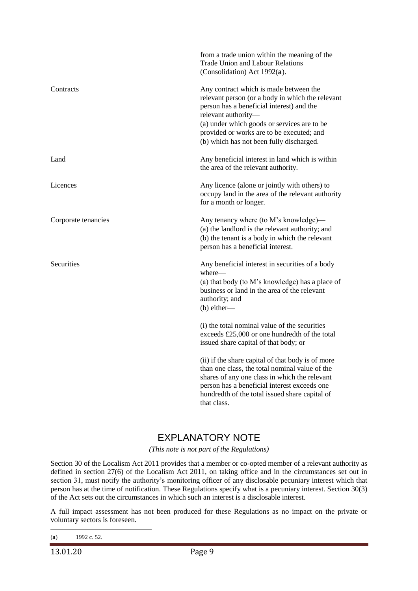|                     | from a trade union within the meaning of the<br><b>Trade Union and Labour Relations</b><br>(Consolidation) Act $1992(a)$ .                                                                                                                                                                             |
|---------------------|--------------------------------------------------------------------------------------------------------------------------------------------------------------------------------------------------------------------------------------------------------------------------------------------------------|
| Contracts           | Any contract which is made between the<br>relevant person (or a body in which the relevant<br>person has a beneficial interest) and the<br>relevant authority-<br>(a) under which goods or services are to be<br>provided or works are to be executed; and<br>(b) which has not been fully discharged. |
| Land                | Any beneficial interest in land which is within<br>the area of the relevant authority.                                                                                                                                                                                                                 |
| Licences            | Any licence (alone or jointly with others) to<br>occupy land in the area of the relevant authority<br>for a month or longer.                                                                                                                                                                           |
| Corporate tenancies | Any tenancy where (to M's knowledge)—<br>(a) the landlord is the relevant authority; and<br>(b) the tenant is a body in which the relevant<br>person has a beneficial interest.                                                                                                                        |
| Securities          | Any beneficial interest in securities of a body<br>where-<br>(a) that body (to M's knowledge) has a place of<br>business or land in the area of the relevant<br>authority; and<br>$(b)$ either—                                                                                                        |
|                     | (i) the total nominal value of the securities<br>exceeds £25,000 or one hundredth of the total<br>issued share capital of that body; or                                                                                                                                                                |
|                     | (ii) if the share capital of that body is of more<br>than one class, the total nominal value of the<br>shares of any one class in which the relevant<br>person has a beneficial interest exceeds one<br>hundredth of the total issued share capital of<br>that class.                                  |

# EXPLANATORY NOTE

*(This note is not part of the Regulations)*

Section 30 of the Localism Act 2011 provides that a member or co-opted member of a relevant authority as defined in section 27(6) of the Localism Act 2011, on taking office and in the circumstances set out in section 31, must notify the authority's monitoring officer of any disclosable pecuniary interest which that person has at the time of notification. These Regulations specify what is a pecuniary interest. Section 30(3) of the Act sets out the circumstances in which such an interest is a disclosable interest.

A full impact assessment has not been produced for these Regulations as no impact on the private or voluntary sectors is foreseen.

**<sup>.</sup>** (**a**) 1992 c. 52.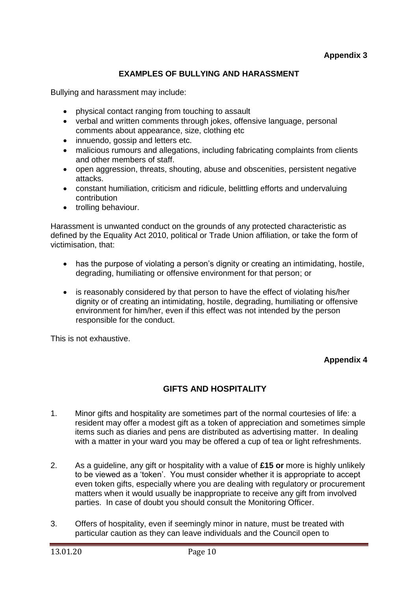# **EXAMPLES OF BULLYING AND HARASSMENT**

Bullying and harassment may include:

- physical contact ranging from touching to assault
- verbal and written comments through jokes, offensive language, personal comments about appearance, size, clothing etc
- innuendo, gossip and letters etc.
- malicious rumours and allegations, including fabricating complaints from clients and other members of staff.
- open aggression, threats, shouting, abuse and obscenities, persistent negative attacks.
- constant humiliation, criticism and ridicule, belittling efforts and undervaluing contribution
- trolling behaviour.

Harassment is unwanted conduct on the grounds of any protected characteristic as defined by the Equality Act 2010, political or Trade Union affiliation, or take the form of victimisation, that:

- has the purpose of violating a person's dignity or creating an intimidating, hostile, degrading, humiliating or offensive environment for that person; or
- is reasonably considered by that person to have the effect of violating his/her dignity or of creating an intimidating, hostile, degrading, humiliating or offensive environment for him/her, even if this effect was not intended by the person responsible for the conduct.

This is not exhaustive.

### **Appendix 4**

# **GIFTS AND HOSPITALITY**

- 1. Minor gifts and hospitality are sometimes part of the normal courtesies of life: a resident may offer a modest gift as a token of appreciation and sometimes simple items such as diaries and pens are distributed as advertising matter. In dealing with a matter in your ward you may be offered a cup of tea or light refreshments.
- 2. As a guideline, any gift or hospitality with a value of **£15 or** more is highly unlikely to be viewed as a 'token'. You must consider whether it is appropriate to accept even token gifts, especially where you are dealing with regulatory or procurement matters when it would usually be inappropriate to receive any gift from involved parties. In case of doubt you should consult the Monitoring Officer.
- 3. Offers of hospitality, even if seemingly minor in nature, must be treated with particular caution as they can leave individuals and the Council open to